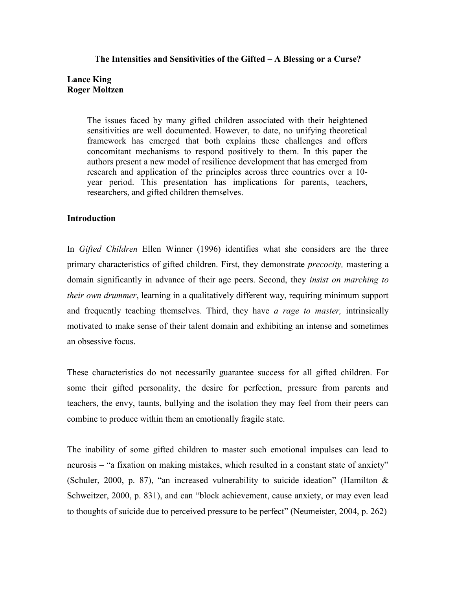## **The Intensities and Sensitivities of the Gifted – A Blessing or a Curse?**

# **Lance King Roger Moltzen**

The issues faced by many gifted children associated with their heightened sensitivities are well documented. However, to date, no unifying theoretical framework has emerged that both explains these challenges and offers concomitant mechanisms to respond positively to them. In this paper the authors present a new model of resilience development that has emerged from research and application of the principles across three countries over a 10 year period. This presentation has implications for parents, teachers, researchers, and gifted children themselves.

## **Introduction**

In *Gifted Children* Ellen Winner (1996) identifies what she considers are the three primary characteristics of gifted children. First, they demonstrate *precocity,* mastering a domain significantly in advance of their age peers. Second, they *insist on marching to their own drummer*, learning in a qualitatively different way, requiring minimum support and frequently teaching themselves. Third, they have *a rage to master,* intrinsically motivated to make sense of their talent domain and exhibiting an intense and sometimes an obsessive focus.

These characteristics do not necessarily guarantee success for all gifted children. For some their gifted personality, the desire for perfection, pressure from parents and teachers, the envy, taunts, bullying and the isolation they may feel from their peers can combine to produce within them an emotionally fragile state.

The inability of some gifted children to master such emotional impulses can lead to neurosis – "a fixation on making mistakes, which resulted in a constant state of anxiety" (Schuler, 2000, p. 87), "an increased vulnerability to suicide ideation" (Hamilton  $\&$ Schweitzer, 2000, p. 831), and can "block achievement, cause anxiety, or may even lead to thoughts of suicide due to perceived pressure to be perfect" (Neumeister, 2004, p. 262)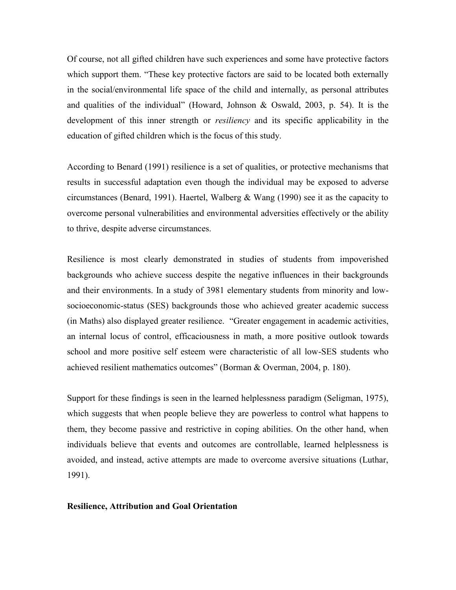Of course, not all gifted children have such experiences and some have protective factors which support them. "These key protective factors are said to be located both externally in the social/environmental life space of the child and internally, as personal attributes and qualities of the individual" (Howard, Johnson & Oswald, 2003, p. 54). It is the development of this inner strength or *resiliency* and its specific applicability in the education of gifted children which is the focus of this study.

According to Benard (1991) resilience is a set of qualities, or protective mechanisms that results in successful adaptation even though the individual may be exposed to adverse circumstances (Benard, 1991). Haertel, Walberg & Wang (1990) see it as the capacity to overcome personal vulnerabilities and environmental adversities effectively or the ability to thrive, despite adverse circumstances.

Resilience is most clearly demonstrated in studies of students from impoverished backgrounds who achieve success despite the negative influences in their backgrounds and their environments. In a study of 3981 elementary students from minority and lowsocioeconomic-status (SES) backgrounds those who achieved greater academic success (in Maths) also displayed greater resilience. "Greater engagement in academic activities, an internal locus of control, efficaciousness in math, a more positive outlook towards school and more positive self esteem were characteristic of all low-SES students who achieved resilient mathematics outcomes" (Borman & Overman, 2004, p. 180).

Support for these findings is seen in the learned helplessness paradigm (Seligman, 1975), which suggests that when people believe they are powerless to control what happens to them, they become passive and restrictive in coping abilities. On the other hand, when individuals believe that events and outcomes are controllable, learned helplessness is avoided, and instead, active attempts are made to overcome aversive situations (Luthar, 1991).

#### **Resilience, Attribution and Goal Orientation**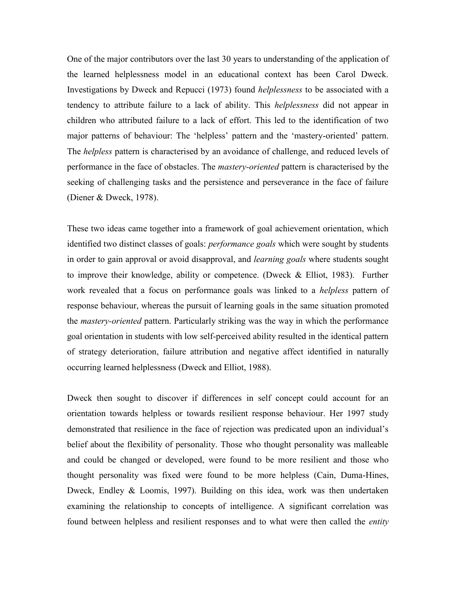One of the major contributors over the last 30 years to understanding of the application of the learned helplessness model in an educational context has been Carol Dweck. Investigations by Dweck and Repucci (1973) found *helplessness* to be associated with a tendency to attribute failure to a lack of ability. This *helplessness* did not appear in children who attributed failure to a lack of effort. This led to the identification of two major patterns of behaviour: The "helpless" pattern and the "mastery-oriented" pattern. The *helpless* pattern is characterised by an avoidance of challenge, and reduced levels of performance in the face of obstacles. The *mastery-oriented* pattern is characterised by the seeking of challenging tasks and the persistence and perseverance in the face of failure (Diener & Dweck, 1978).

These two ideas came together into a framework of goal achievement orientation, which identified two distinct classes of goals: *performance goals* which were sought by students in order to gain approval or avoid disapproval, and *learning goals* where students sought to improve their knowledge, ability or competence. (Dweck  $\&$  Elliot, 1983). Further work revealed that a focus on performance goals was linked to a *helpless* pattern of response behaviour, whereas the pursuit of learning goals in the same situation promoted the *mastery-oriented* pattern. Particularly striking was the way in which the performance goal orientation in students with low self-perceived ability resulted in the identical pattern of strategy deterioration, failure attribution and negative affect identified in naturally occurring learned helplessness (Dweck and Elliot, 1988).

Dweck then sought to discover if differences in self concept could account for an orientation towards helpless or towards resilient response behaviour. Her 1997 study demonstrated that resilience in the face of rejection was predicated upon an individual"s belief about the flexibility of personality. Those who thought personality was malleable and could be changed or developed, were found to be more resilient and those who thought personality was fixed were found to be more helpless (Cain, Duma-Hines, Dweck, Endley & Loomis, 1997). Building on this idea, work was then undertaken examining the relationship to concepts of intelligence. A significant correlation was found between helpless and resilient responses and to what were then called the *entity*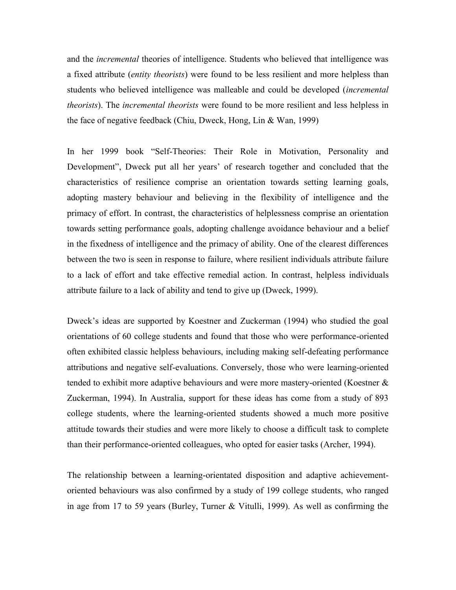and the *incremental* theories of intelligence. Students who believed that intelligence was a fixed attribute (*entity theorists*) were found to be less resilient and more helpless than students who believed intelligence was malleable and could be developed (*incremental theorists*). The *incremental theorists* were found to be more resilient and less helpless in the face of negative feedback (Chiu, Dweck, Hong, Lin & Wan, 1999)

In her 1999 book "Self-Theories: Their Role in Motivation, Personality and Development", Dweck put all her years" of research together and concluded that the characteristics of resilience comprise an orientation towards setting learning goals, adopting mastery behaviour and believing in the flexibility of intelligence and the primacy of effort. In contrast, the characteristics of helplessness comprise an orientation towards setting performance goals, adopting challenge avoidance behaviour and a belief in the fixedness of intelligence and the primacy of ability. One of the clearest differences between the two is seen in response to failure, where resilient individuals attribute failure to a lack of effort and take effective remedial action. In contrast, helpless individuals attribute failure to a lack of ability and tend to give up (Dweck, 1999).

Dweck"s ideas are supported by Koestner and Zuckerman (1994) who studied the goal orientations of 60 college students and found that those who were performance-oriented often exhibited classic helpless behaviours, including making self-defeating performance attributions and negative self-evaluations. Conversely, those who were learning-oriented tended to exhibit more adaptive behaviours and were more mastery-oriented (Koestner & Zuckerman, 1994). In Australia, support for these ideas has come from a study of 893 college students, where the learning-oriented students showed a much more positive attitude towards their studies and were more likely to choose a difficult task to complete than their performance-oriented colleagues, who opted for easier tasks (Archer, 1994).

The relationship between a learning-orientated disposition and adaptive achievementoriented behaviours was also confirmed by a study of 199 college students, who ranged in age from 17 to 59 years (Burley, Turner & Vitulli, 1999). As well as confirming the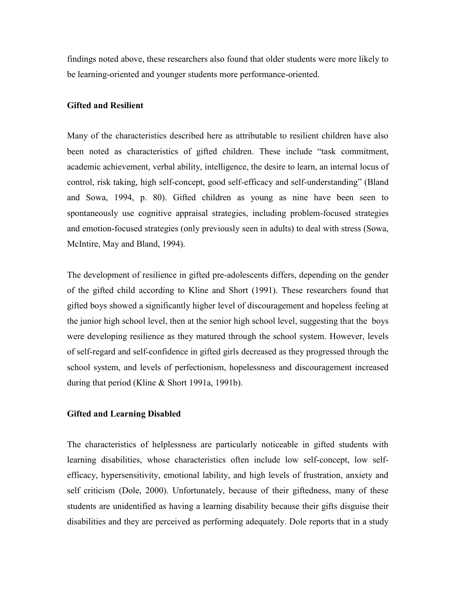findings noted above, these researchers also found that older students were more likely to be learning-oriented and younger students more performance-oriented.

#### **Gifted and Resilient**

Many of the characteristics described here as attributable to resilient children have also been noted as characteristics of gifted children. These include "task commitment, academic achievement, verbal ability, intelligence, the desire to learn, an internal locus of control, risk taking, high self-concept, good self-efficacy and self-understanding" (Bland and Sowa, 1994, p. 80). Gifted children as young as nine have been seen to spontaneously use cognitive appraisal strategies, including problem-focused strategies and emotion-focused strategies (only previously seen in adults) to deal with stress (Sowa, McIntire, May and Bland, 1994).

The development of resilience in gifted pre-adolescents differs, depending on the gender of the gifted child according to Kline and Short (1991). These researchers found that gifted boys showed a significantly higher level of discouragement and hopeless feeling at the junior high school level, then at the senior high school level, suggesting that the boys were developing resilience as they matured through the school system. However, levels of self-regard and self-confidence in gifted girls decreased as they progressed through the school system, and levels of perfectionism, hopelessness and discouragement increased during that period (Kline & Short 1991a, 1991b).

## **Gifted and Learning Disabled**

The characteristics of helplessness are particularly noticeable in gifted students with learning disabilities, whose characteristics often include low self-concept, low selfefficacy, hypersensitivity, emotional lability, and high levels of frustration, anxiety and self criticism (Dole, 2000). Unfortunately, because of their giftedness, many of these students are unidentified as having a learning disability because their gifts disguise their disabilities and they are perceived as performing adequately. Dole reports that in a study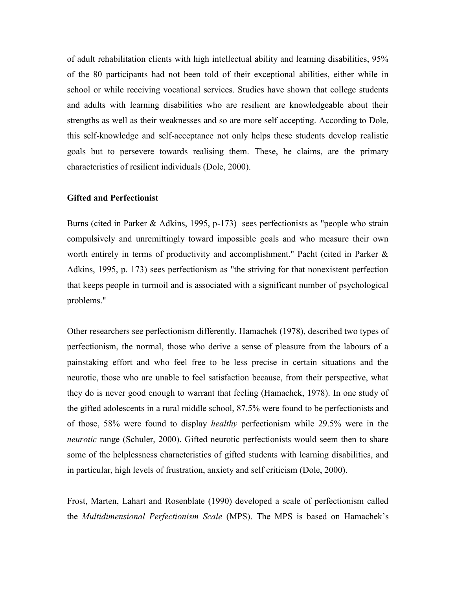of adult rehabilitation clients with high intellectual ability and learning disabilities, 95% of the 80 participants had not been told of their exceptional abilities, either while in school or while receiving vocational services. Studies have shown that college students and adults with learning disabilities who are resilient are knowledgeable about their strengths as well as their weaknesses and so are more self accepting. According to Dole, this self-knowledge and self-acceptance not only helps these students develop realistic goals but to persevere towards realising them. These, he claims, are the primary characteristics of resilient individuals (Dole, 2000).

## **Gifted and Perfectionist**

Burns (cited in Parker & Adkins, 1995, p-173) sees perfectionists as "people who strain compulsively and unremittingly toward impossible goals and who measure their own worth entirely in terms of productivity and accomplishment." Pacht (cited in Parker & Adkins, 1995, p. 173) sees perfectionism as "the striving for that nonexistent perfection that keeps people in turmoil and is associated with a significant number of psychological problems."

Other researchers see perfectionism differently. Hamachek (1978), described two types of perfectionism, the normal, those who derive a sense of pleasure from the labours of a painstaking effort and who feel free to be less precise in certain situations and the neurotic, those who are unable to feel satisfaction because, from their perspective, what they do is never good enough to warrant that feeling (Hamachek, 1978). In one study of the gifted adolescents in a rural middle school, 87.5% were found to be perfectionists and of those, 58% were found to display *healthy* perfectionism while 29.5% were in the *neurotic* range (Schuler, 2000). Gifted neurotic perfectionists would seem then to share some of the helplessness characteristics of gifted students with learning disabilities, and in particular, high levels of frustration, anxiety and self criticism (Dole, 2000).

Frost, Marten, Lahart and Rosenblate (1990) developed a scale of perfectionism called the *Multidimensional Perfectionism Scale* (MPS). The MPS is based on Hamachek"s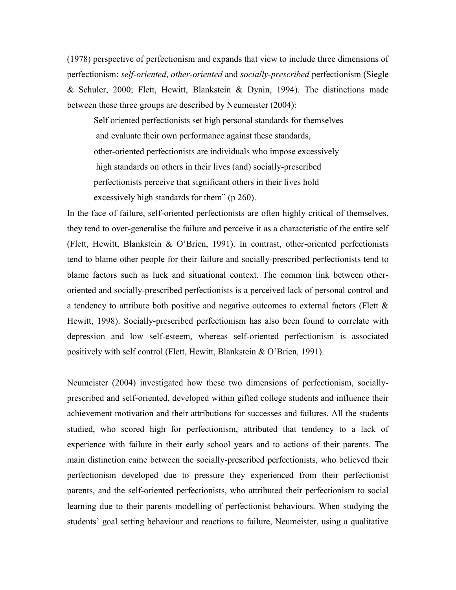(1978) perspective of perfectionism and expands that view to include three dimensions of perfectionism: *self-oriented*, *other-oriented* and *socially-prescribed* perfectionism (Siegle & Schuler, 2000; Flett, Hewitt, Blankstein & Dynin, 1994). The distinctions made between these three groups are described by Neumeister (2004):

Self oriented perfectionists set high personal standards for themselves and evaluate their own performance against these standards, other-oriented perfectionists are individuals who impose excessively high standards on others in their lives (and) socially-prescribed perfectionists perceive that significant others in their lives hold excessively high standards for them" (p 260).

In the face of failure, self-oriented perfectionists are often highly critical of themselves, they tend to over-generalise the failure and perceive it as a characteristic of the entire self (Flett, Hewitt, Blankstein & O"Brien, 1991). In contrast, other-oriented perfectionists tend to blame other people for their failure and socially-prescribed perfectionists tend to blame factors such as luck and situational context. The common link between otheroriented and socially-prescribed perfectionists is a perceived lack of personal control and a tendency to attribute both positive and negative outcomes to external factors (Flett & Hewitt, 1998). Socially-prescribed perfectionism has also been found to correlate with depression and low self-esteem, whereas self-oriented perfectionism is associated positively with self control (Flett, Hewitt, Blankstein & O"Brien, 1991).

Neumeister (2004) investigated how these two dimensions of perfectionism, sociallyprescribed and self-oriented, developed within gifted college students and influence their achievement motivation and their attributions for successes and failures. All the students studied, who scored high for perfectionism, attributed that tendency to a lack of experience with failure in their early school years and to actions of their parents. The main distinction came between the socially-prescribed perfectionists, who believed their perfectionism developed due to pressure they experienced from their perfectionist parents, and the self-oriented perfectionists, who attributed their perfectionism to social learning due to their parents modelling of perfectionist behaviours. When studying the students" goal setting behaviour and reactions to failure, Neumeister, using a qualitative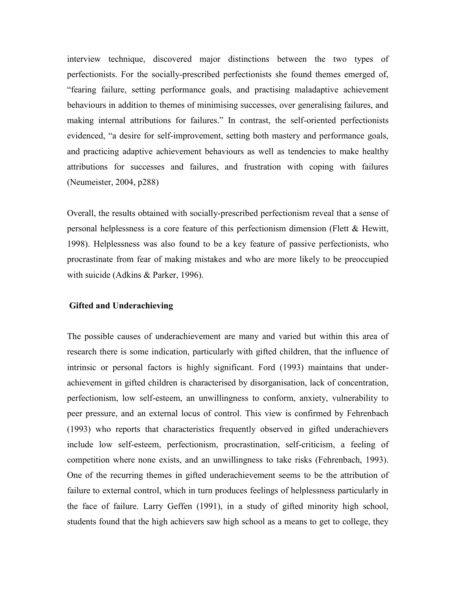interview technique, discovered major distinctions between the two types of perfectionists. For the socially-prescribed perfectionists she found themes emerged of, "fearing failure, setting performance goals, and practising maladaptive achievement behaviours in addition to themes of minimising successes, over generalising failures, and making internal attributions for failures." In contrast, the self-oriented perfectionists evidenced, "a desire for self-improvement, setting both mastery and performance goals, and practicing adaptive achievement behaviours as well as tendencies to make healthy attributions for successes and failures, and frustration with coping with failures (Neumeister, 2004, p288)

Overall, the results obtained with socially-prescribed perfectionism reveal that a sense of personal helplessness is a core feature of this perfectionism dimension (Flett & Hewitt, 1998). Helplessness was also found to be a key feature of passive perfectionists, who procrastinate from fear of making mistakes and who are more likely to be preoccupied with suicide (Adkins & Parker, 1996).

### **Gifted and Underachieving**

The possible causes of underachievement are many and varied but within this area of research there is some indication, particularly with gifted children, that the influence of intrinsic or personal factors is highly significant. Ford (1993) maintains that underachievement in gifted children is characterised by disorganisation, lack of concentration, perfectionism, low self-esteem, an unwillingness to conform, anxiety, vulnerability to peer pressure, and an external locus of control. This view is confirmed by Fehrenbach (1993) who reports that characteristics frequently observed in gifted underachievers include low self-esteem, perfectionism, procrastination, self-criticism, a feeling of competition where none exists, and an unwillingness to take risks (Fehrenbach, 1993). One of the recurring themes in gifted underachievement seems to be the attribution of failure to external control, which in turn produces feelings of helplessness particularly in the face of failure. Larry Geffen (1991), in a study of gifted minority high school, students found that the high achievers saw high school as a means to get to college, they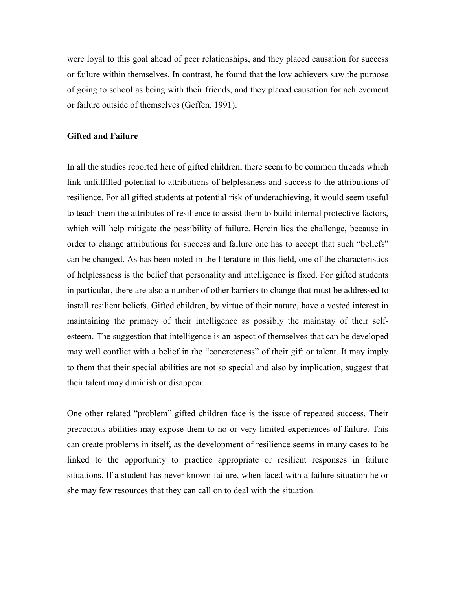were loyal to this goal ahead of peer relationships, and they placed causation for success or failure within themselves. In contrast, he found that the low achievers saw the purpose of going to school as being with their friends, and they placed causation for achievement or failure outside of themselves (Geffen, 1991).

#### **Gifted and Failure**

In all the studies reported here of gifted children, there seem to be common threads which link unfulfilled potential to attributions of helplessness and success to the attributions of resilience. For all gifted students at potential risk of underachieving, it would seem useful to teach them the attributes of resilience to assist them to build internal protective factors, which will help mitigate the possibility of failure. Herein lies the challenge, because in order to change attributions for success and failure one has to accept that such "beliefs" can be changed. As has been noted in the literature in this field, one of the characteristics of helplessness is the belief that personality and intelligence is fixed. For gifted students in particular, there are also a number of other barriers to change that must be addressed to install resilient beliefs. Gifted children, by virtue of their nature, have a vested interest in maintaining the primacy of their intelligence as possibly the mainstay of their selfesteem. The suggestion that intelligence is an aspect of themselves that can be developed may well conflict with a belief in the "concreteness" of their gift or talent. It may imply to them that their special abilities are not so special and also by implication, suggest that their talent may diminish or disappear.

One other related "problem" gifted children face is the issue of repeated success. Their precocious abilities may expose them to no or very limited experiences of failure. This can create problems in itself, as the development of resilience seems in many cases to be linked to the opportunity to practice appropriate or resilient responses in failure situations. If a student has never known failure, when faced with a failure situation he or she may few resources that they can call on to deal with the situation.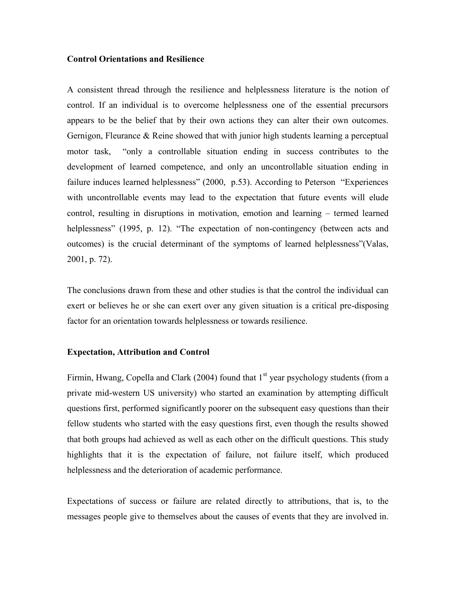### **Control Orientations and Resilience**

A consistent thread through the resilience and helplessness literature is the notion of control. If an individual is to overcome helplessness one of the essential precursors appears to be the belief that by their own actions they can alter their own outcomes. Gernigon, Fleurance & Reine showed that with junior high students learning a perceptual motor task, "only a controllable situation ending in success contributes to the development of learned competence, and only an uncontrollable situation ending in failure induces learned helplessness" (2000, p.53). According to Peterson "Experiences" with uncontrollable events may lead to the expectation that future events will elude control, resulting in disruptions in motivation, emotion and learning – termed learned helplessness" (1995, p. 12). "The expectation of non-contingency (between acts and outcomes) is the crucial determinant of the symptoms of learned helplessness"(Valas, 2001, p. 72).

The conclusions drawn from these and other studies is that the control the individual can exert or believes he or she can exert over any given situation is a critical pre-disposing factor for an orientation towards helplessness or towards resilience.

#### **Expectation, Attribution and Control**

Firmin, Hwang, Copella and Clark (2004) found that  $1<sup>st</sup>$  year psychology students (from a private mid-western US university) who started an examination by attempting difficult questions first, performed significantly poorer on the subsequent easy questions than their fellow students who started with the easy questions first, even though the results showed that both groups had achieved as well as each other on the difficult questions. This study highlights that it is the expectation of failure, not failure itself, which produced helplessness and the deterioration of academic performance.

Expectations of success or failure are related directly to attributions, that is, to the messages people give to themselves about the causes of events that they are involved in.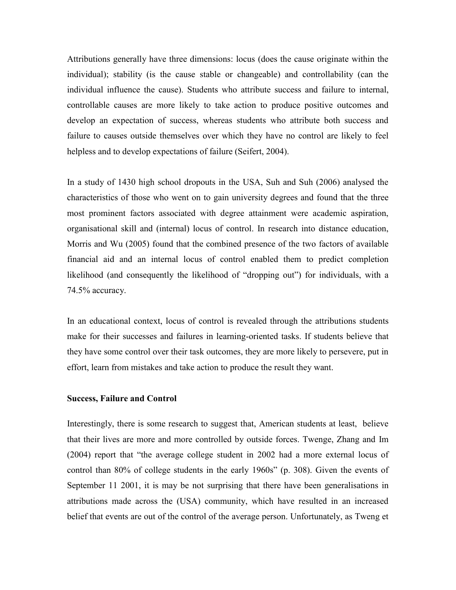Attributions generally have three dimensions: locus (does the cause originate within the individual); stability (is the cause stable or changeable) and controllability (can the individual influence the cause). Students who attribute success and failure to internal, controllable causes are more likely to take action to produce positive outcomes and develop an expectation of success, whereas students who attribute both success and failure to causes outside themselves over which they have no control are likely to feel helpless and to develop expectations of failure (Seifert, 2004).

In a study of 1430 high school dropouts in the USA, Suh and Suh (2006) analysed the characteristics of those who went on to gain university degrees and found that the three most prominent factors associated with degree attainment were academic aspiration, organisational skill and (internal) locus of control. In research into distance education, Morris and Wu (2005) found that the combined presence of the two factors of available financial aid and an internal locus of control enabled them to predict completion likelihood (and consequently the likelihood of "dropping out") for individuals, with a 74.5% accuracy.

In an educational context, locus of control is revealed through the attributions students make for their successes and failures in learning-oriented tasks. If students believe that they have some control over their task outcomes, they are more likely to persevere, put in effort, learn from mistakes and take action to produce the result they want.

#### **Success, Failure and Control**

Interestingly, there is some research to suggest that, American students at least, believe that their lives are more and more controlled by outside forces. Twenge, Zhang and Im (2004) report that "the average college student in 2002 had a more external locus of control than 80% of college students in the early 1960s" (p. 308). Given the events of September 11 2001, it is may be not surprising that there have been generalisations in attributions made across the (USA) community, which have resulted in an increased belief that events are out of the control of the average person. Unfortunately, as Tweng et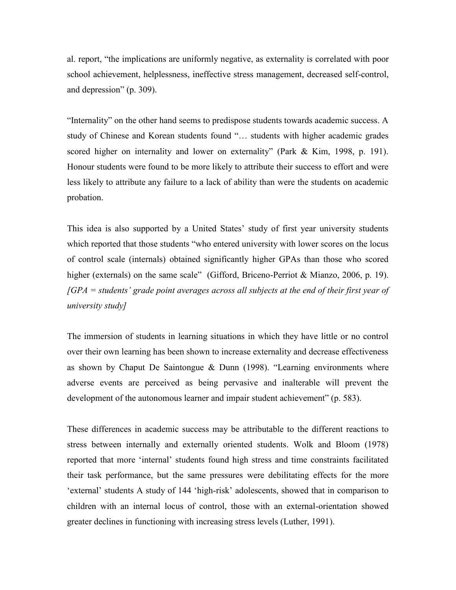al. report, "the implications are uniformly negative, as externality is correlated with poor school achievement, helplessness, ineffective stress management, decreased self-control, and depression" (p. 309).

"Internality" on the other hand seems to predispose students towards academic success. A study of Chinese and Korean students found "… students with higher academic grades scored higher on internality and lower on externality" (Park & Kim, 1998, p. 191). Honour students were found to be more likely to attribute their success to effort and were less likely to attribute any failure to a lack of ability than were the students on academic probation.

This idea is also supported by a United States" study of first year university students which reported that those students "who entered university with lower scores on the locus of control scale (internals) obtained significantly higher GPAs than those who scored higher (externals) on the same scale" (Gifford, Briceno-Perriot & Mianzo, 2006, p. 19). *[GPA = students' grade point averages across all subjects at the end of their first year of university study]*

The immersion of students in learning situations in which they have little or no control over their own learning has been shown to increase externality and decrease effectiveness as shown by Chaput De Saintongue & Dunn (1998). "Learning environments where adverse events are perceived as being pervasive and inalterable will prevent the development of the autonomous learner and impair student achievement" (p. 583).

These differences in academic success may be attributable to the different reactions to stress between internally and externally oriented students. Wolk and Bloom (1978) reported that more "internal" students found high stress and time constraints facilitated their task performance, but the same pressures were debilitating effects for the more 'external' students A study of 144 'high-risk' adolescents, showed that in comparison to children with an internal locus of control, those with an external-orientation showed greater declines in functioning with increasing stress levels (Luther, 1991).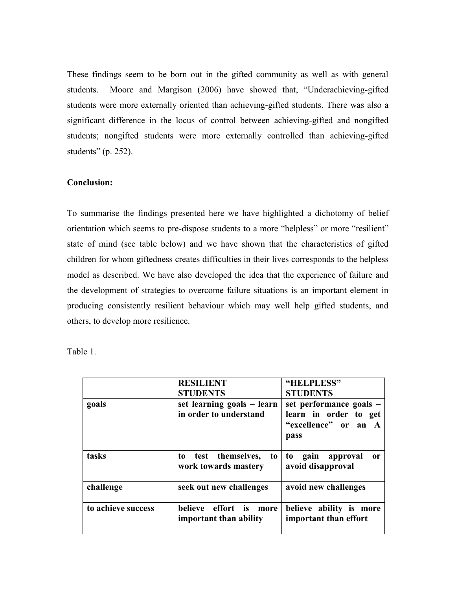These findings seem to be born out in the gifted community as well as with general students. Moore and Margison (2006) have showed that, "Underachieving-gifted students were more externally oriented than achieving-gifted students. There was also a significant difference in the locus of control between achieving-gifted and nongifted students; nongifted students were more externally controlled than achieving-gifted students" (p. 252).

## **Conclusion:**

To summarise the findings presented here we have highlighted a dichotomy of belief orientation which seems to pre-dispose students to a more "helpless" or more "resilient" state of mind (see table below) and we have shown that the characteristics of gifted children for whom giftedness creates difficulties in their lives corresponds to the helpless model as described. We have also developed the idea that the experience of failure and the development of strategies to overcome failure situations is an important element in producing consistently resilient behaviour which may well help gifted students, and others, to develop more resilience.

Table 1.

|                    | <b>RESILIENT</b><br><b>STUDENTS</b>                  | "HELPLESS"<br><b>STUDENTS</b>                                                    |
|--------------------|------------------------------------------------------|----------------------------------------------------------------------------------|
| goals              | set learning goals – learn<br>in order to understand | set performance goals –<br>learn in order to get<br>"excellence" or an A<br>pass |
| tasks              | to test themselves,<br>to<br>work towards mastery    | gain<br>approval<br>to<br><sub>or</sub><br>avoid disapproval                     |
| challenge          | seek out new challenges                              | avoid new challenges                                                             |
| to achieve success | believe effort is<br>more<br>important than ability  | believe ability is more<br>important than effort                                 |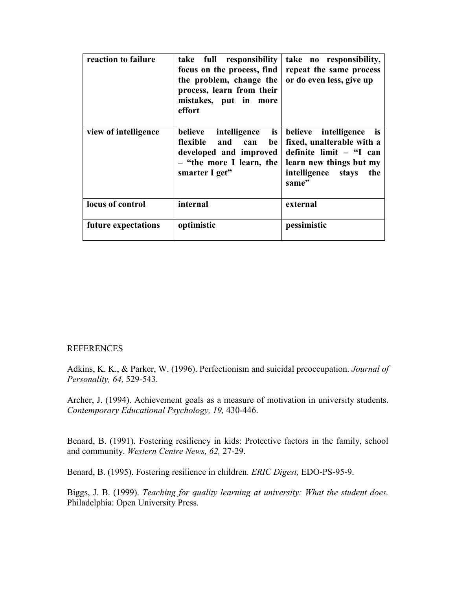| reaction to failure  | take full responsibility<br>focus on the process, find<br>the problem, change the<br>process, learn from their<br>mistakes, put in more<br>effort | take no responsibility,<br>repeat the same process<br>or do even less, give up                                                                   |
|----------------------|---------------------------------------------------------------------------------------------------------------------------------------------------|--------------------------------------------------------------------------------------------------------------------------------------------------|
| view of intelligence | is<br>intelligence<br>believe<br>flexible and can<br>be<br>developed and improved<br>- "the more I learn, the<br>smarter I get"                   | believe intelligence is<br>fixed, unalterable with a<br>definite limit - "I can<br>learn new things but my<br>intelligence stays<br>the<br>same" |
| locus of control     | internal                                                                                                                                          | external                                                                                                                                         |
| future expectations  | optimistic                                                                                                                                        | pessimistic                                                                                                                                      |

### **REFERENCES**

Adkins, K. K., & Parker, W. (1996). Perfectionism and suicidal preoccupation. *Journal of Personality, 64,* 529-543.

Archer, J. (1994). Achievement goals as a measure of motivation in university students. *Contemporary Educational Psychology, 19,* 430-446.

Benard, B. (1991). Fostering resiliency in kids: Protective factors in the family, school and community. *Western Centre News, 62,* 27-29.

Benard, B. (1995). Fostering resilience in children. *ERIC Digest,* EDO-PS-95-9.

Biggs, J. B. (1999). *Teaching for quality learning at university: What the student does.* Philadelphia: Open University Press.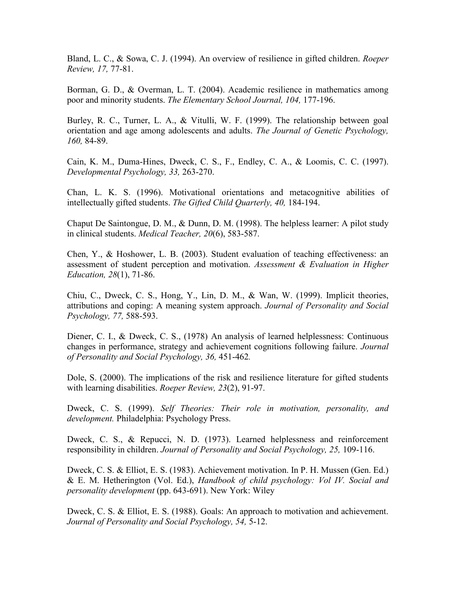Bland, L. C., & Sowa, C. J. (1994). An overview of resilience in gifted children. *Roeper Review, 17,* 77-81.

Borman, G. D., & Overman, L. T. (2004). Academic resilience in mathematics among poor and minority students. *The Elementary School Journal, 104,* 177-196.

Burley, R. C., Turner, L. A., & Vitulli, W. F. (1999). The relationship between goal orientation and age among adolescents and adults. *The Journal of Genetic Psychology, 160,* 84-89.

Cain, K. M., Duma-Hines, Dweck, C. S., F., Endley, C. A., & Loomis, C. C. (1997). *Developmental Psychology, 33,* 263-270.

Chan, L. K. S. (1996). Motivational orientations and metacognitive abilities of intellectually gifted students. *The Gifted Child Quarterly, 40,* 184-194.

Chaput De Saintongue, D. M., & Dunn, D. M. (1998). The helpless learner: A pilot study in clinical students. *Medical Teacher, 20*(6), 583-587.

Chen, Y., & Hoshower, L. B. (2003). Student evaluation of teaching effectiveness: an assessment of student perception and motivation. *Assessment & Evaluation in Higher Education, 28*(1), 71-86.

Chiu, C., Dweck, C. S., Hong, Y., Lin, D. M., & Wan, W. (1999). Implicit theories, attributions and coping: A meaning system approach. *Journal of Personality and Social Psychology, 77,* 588-593.

Diener, C. I., & Dweck, C. S., (1978) An analysis of learned helplessness: Continuous changes in performance, strategy and achievement cognitions following failure. *Journal of Personality and Social Psychology, 36,* 451-462*.*

Dole, S. (2000). The implications of the risk and resilience literature for gifted students with learning disabilities. *Roeper Review, 23*(2), 91-97.

Dweck, C. S. (1999). *Self Theories: Their role in motivation, personality, and development.* Philadelphia: Psychology Press.

Dweck, C. S., & Repucci, N. D. (1973). Learned helplessness and reinforcement responsibility in children. *Journal of Personality and Social Psychology, 25,* 109-116.

Dweck, C. S. & Elliot, E. S. (1983). Achievement motivation. In P. H. Mussen (Gen. Ed.) & E. M. Hetherington (Vol. Ed.), *Handbook of child psychology: Vol IV. Social and personality development* (pp. 643-691). New York: Wiley

Dweck, C. S. & Elliot, E. S. (1988). Goals: An approach to motivation and achievement. *Journal of Personality and Social Psychology, 54,* 5-12.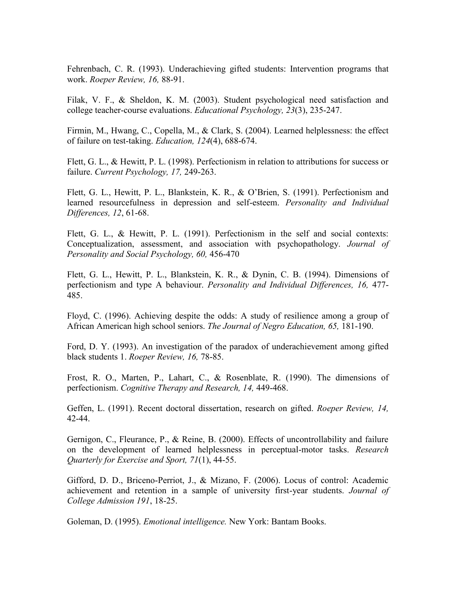Fehrenbach, C. R. (1993). Underachieving gifted students: Intervention programs that work. *Roeper Review, 16,* 88-91.

Filak, V. F., & Sheldon, K. M. (2003). Student psychological need satisfaction and college teacher-course evaluations. *Educational Psychology, 23*(3), 235-247.

Firmin, M., Hwang, C., Copella, M., & Clark, S. (2004). Learned helplessness: the effect of failure on test-taking. *Education, 124*(4), 688-674.

Flett, G. L., & Hewitt, P. L. (1998). Perfectionism in relation to attributions for success or failure. *Current Psychology, 17,* 249-263.

Flett, G. L., Hewitt, P. L., Blankstein, K. R., & O"Brien, S. (1991). Perfectionism and learned resourcefulness in depression and self-esteem. *Personality and Individual Differences, 12*, 61-68.

Flett, G. L., & Hewitt, P. L. (1991). Perfectionism in the self and social contexts: Conceptualization, assessment, and association with psychopathology. *Journal of Personality and Social Psychology, 60,* 456-470

Flett, G. L., Hewitt, P. L., Blankstein, K. R., & Dynin, C. B. (1994). Dimensions of perfectionism and type A behaviour. *Personality and Individual Differences, 16,* 477- 485.

Floyd, C. (1996). Achieving despite the odds: A study of resilience among a group of African American high school seniors. *The Journal of Negro Education, 65,* 181-190.

Ford, D. Y. (1993). An investigation of the paradox of underachievement among gifted black students 1. *Roeper Review, 16,* 78-85.

Frost, R. O., Marten, P., Lahart, C., & Rosenblate, R. (1990). The dimensions of perfectionism. *Cognitive Therapy and Research, 14,* 449-468.

Geffen, L. (1991). Recent doctoral dissertation, research on gifted. *Roeper Review, 14,* 42-44.

Gernigon, C., Fleurance, P., & Reine, B. (2000). Effects of uncontrollability and failure on the development of learned helplessness in perceptual-motor tasks. *Research Quarterly for Exercise and Sport, 71*(1), 44-55.

Gifford, D. D., Briceno-Perriot, J., & Mizano, F. (2006). Locus of control: Academic achievement and retention in a sample of university first-year students. *Journal of College Admission 191*, 18-25.

Goleman, D. (1995). *Emotional intelligence.* New York: Bantam Books.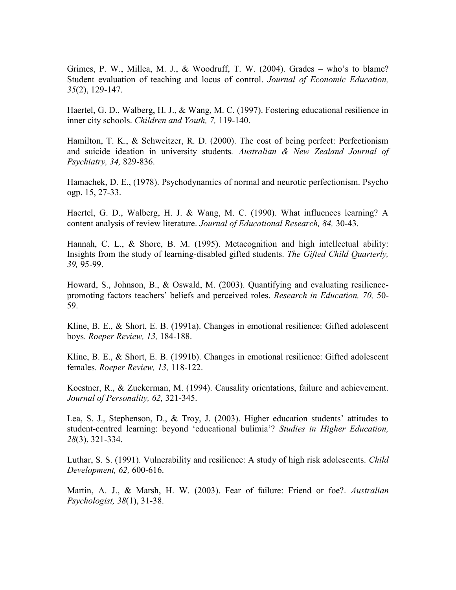Grimes, P. W., Millea, M. J., & Woodruff, T. W. (2004). Grades – who"s to blame? Student evaluation of teaching and locus of control. *Journal of Economic Education, 35*(2), 129-147.

Haertel, G. D., Walberg, H. J., & Wang, M. C. (1997). Fostering educational resilience in inner city schools. *Children and Youth, 7,* 119-140.

Hamilton, T. K., & Schweitzer, R. D. (2000). The cost of being perfect: Perfectionism and suicide ideation in university students*. Australian & New Zealand Journal of Psychiatry, 34,* 829-836.

Hamachek, D. E., (1978). Psychodynamics of normal and neurotic perfectionism. Psycho ogp. 15, 27-33.

Haertel, G. D., Walberg, H. J. & Wang, M. C. (1990). What influences learning? A content analysis of review literature. *Journal of Educational Research, 84,* 30-43.

Hannah, C. L., & Shore, B. M. (1995). Metacognition and high intellectual ability: Insights from the study of learning-disabled gifted students. *The Gifted Child Quarterly, 39,* 95-99.

Howard, S., Johnson, B., & Oswald, M. (2003). Quantifying and evaluating resiliencepromoting factors teachers" beliefs and perceived roles. *Research in Education, 70,* 50- 59.

Kline, B. E., & Short, E. B. (1991a). Changes in emotional resilience: Gifted adolescent boys. *Roeper Review, 13,* 184-188.

Kline, B. E., & Short, E. B. (1991b). Changes in emotional resilience: Gifted adolescent females. *Roeper Review, 13,* 118-122.

Koestner, R., & Zuckerman, M. (1994). Causality orientations, failure and achievement. *Journal of Personality, 62,* 321-345.

Lea, S. J., Stephenson, D., & Troy, J. (2003). Higher education students' attitudes to student-centred learning: beyond "educational bulimia"? *Studies in Higher Education, 28*(3), 321-334.

Luthar, S. S. (1991). Vulnerability and resilience: A study of high risk adolescents. *Child Development, 62,* 600-616.

Martin, A. J., & Marsh, H. W. (2003). Fear of failure: Friend or foe?. *Australian Psychologist, 38*(1), 31-38.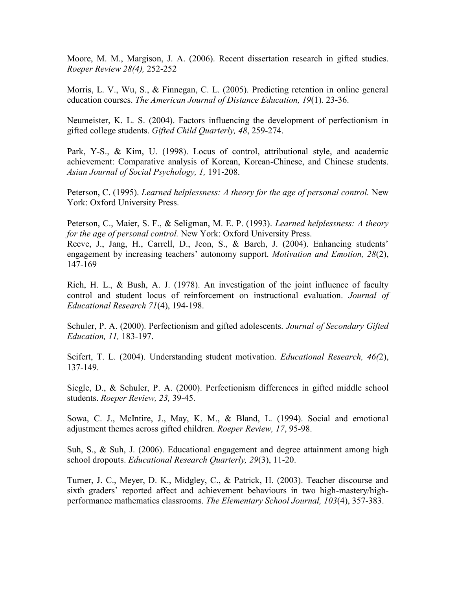Moore, M. M., Margison, J. A. (2006). Recent dissertation research in gifted studies. *Roeper Review 28(4),* 252-252

Morris, L. V., Wu, S., & Finnegan, C. L. (2005). Predicting retention in online general education courses. *The American Journal of Distance Education, 19*(1). 23-36.

Neumeister, K. L. S. (2004). Factors influencing the development of perfectionism in gifted college students. *Gifted Child Quarterly, 48*, 259-274.

Park, Y-S., & Kim, U. (1998). Locus of control, attributional style, and academic achievement: Comparative analysis of Korean, Korean-Chinese, and Chinese students. *Asian Journal of Social Psychology, 1,* 191-208.

Peterson, C. (1995). *Learned helplessness: A theory for the age of personal control.* New York: Oxford University Press.

Peterson, C., Maier, S. F., & Seligman, M. E. P. (1993). *Learned helplessness: A theory for the age of personal control.* New York: Oxford University Press.

Reeve, J., Jang, H., Carrell, D., Jeon, S., & Barch, J. (2004). Enhancing students' engagement by increasing teachers" autonomy support. *Motivation and Emotion, 28*(2), 147-169

Rich, H. L., & Bush, A. J. (1978). An investigation of the joint influence of faculty control and student locus of reinforcement on instructional evaluation. *Journal of Educational Research 71*(4), 194-198.

Schuler, P. A. (2000). Perfectionism and gifted adolescents. *Journal of Secondary Gifted Education, 11,* 183-197.

Seifert, T. L. (2004). Understanding student motivation. *Educational Research, 46(*2), 137-149.

Siegle, D., & Schuler, P. A. (2000). Perfectionism differences in gifted middle school students. *Roeper Review, 23,* 39-45.

Sowa, C. J., McIntire, J., May, K. M., & Bland, L. (1994). Social and emotional adjustment themes across gifted children. *Roeper Review, 17*, 95-98.

Suh, S., & Suh, J. (2006). Educational engagement and degree attainment among high school dropouts. *Educational Research Quarterly, 29*(3), 11-20.

Turner, J. C., Meyer, D. K., Midgley, C., & Patrick, H. (2003). Teacher discourse and sixth graders' reported affect and achievement behaviours in two high-mastery/highperformance mathematics classrooms. *The Elementary School Journal, 103*(4), 357-383.